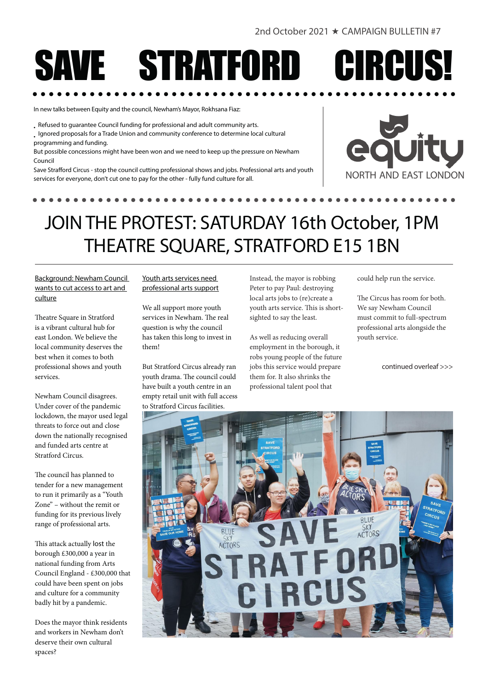# **TE STRATFORD CIRCUS!**

In new talks between Equity and the council, Newham's Mayor, Rokhsana Fiaz:

• Refused to guarantee Council funding for professional and adult community arts.

• Ignored proposals for a Trade Union and community conference to determine local cultural programming and funding.

But possible concessions might have been won and we need to keep up the pressure on Newham Council

Save Strafford Circus - stop the council cutting professional shows and jobs. Professional arts and youth services for everyone, don't cut one to pay for the other - fully fund culture for all.



## JOIN THE PROTEST: SATURDAY 16th October, 1PM THEATRE SQUARE, STRATFORD E15 1BN

Background: Newham Council wants to cut access to art and culture

Theatre Square in Stratford is a vibrant cultural hub for east London. We believe the local community deserves the best when it comes to both professional shows and youth services.

Newham Council disagrees. Under cover of the pandemic lockdown, the mayor used legal threats to force out and close down the nationally recognised and funded arts centre at Stratford Circus.

The council has planned to tender for a new management to run it primarily as a "Youth Zone" – without the remit or funding for its previous lively range of professional arts.

This attack actually lost the borough £300,000 a year in national funding from Arts Council England - £300,000 that could have been spent on jobs and culture for a community badly hit by a pandemic.

Does the mayor think residents and workers in Newham don't deserve their own cultural spaces?

#### Youth arts services need professional arts support

We all support more youth services in Newham. The real question is why the council has taken this long to invest in them!

But Stratford Circus already ran youth drama. The council could have built a youth centre in an empty retail unit with full access to Stratford Circus facilities.

Instead, the mayor is robbing Peter to pay Paul: destroying local arts jobs to (re)create a youth arts service. This is shortsighted to say the least.

As well as reducing overall employment in the borough, it robs young people of the future jobs this service would prepare them for. It also shrinks the professional talent pool that

could help run the service.

The Circus has room for both. We say Newham Council must commit to full-spectrum professional arts alongside the youth service.

continued overleaf >>>